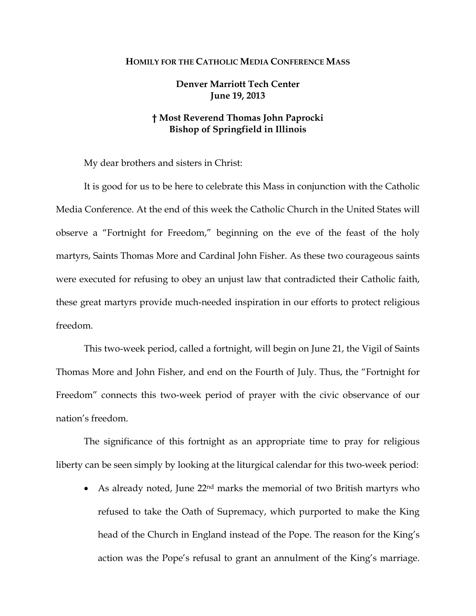## **HOMILY FOR THE CATHOLIC MEDIA CONFERENCE MASS**

## **Denver Marriott Tech Center June 19, 2013**

## **† Most Reverend Thomas John Paprocki Bishop of Springfield in Illinois**

My dear brothers and sisters in Christ:

It is good for us to be here to celebrate this Mass in conjunction with the Catholic Media Conference. At the end of this week the Catholic Church in the United States will observe a "Fortnight for Freedom," beginning on the eve of the feast of the holy martyrs, Saints Thomas More and Cardinal John Fisher. As these two courageous saints were executed for refusing to obey an unjust law that contradicted their Catholic faith, these great martyrs provide much-needed inspiration in our efforts to protect religious freedom.

This two-week period, called a fortnight, will begin on June 21, the Vigil of Saints Thomas More and John Fisher, and end on the Fourth of July. Thus, the "Fortnight for Freedom" connects this two-week period of prayer with the civic observance of our nation's freedom.

The significance of this fortnight as an appropriate time to pray for religious liberty can be seen simply by looking at the liturgical calendar for this two-week period:

• As already noted, June  $22<sup>nd</sup>$  marks the memorial of two British martyrs who refused to take the Oath of Supremacy, which purported to make the King head of the Church in England instead of the Pope. The reason for the King's action was the Pope's refusal to grant an annulment of the King's marriage.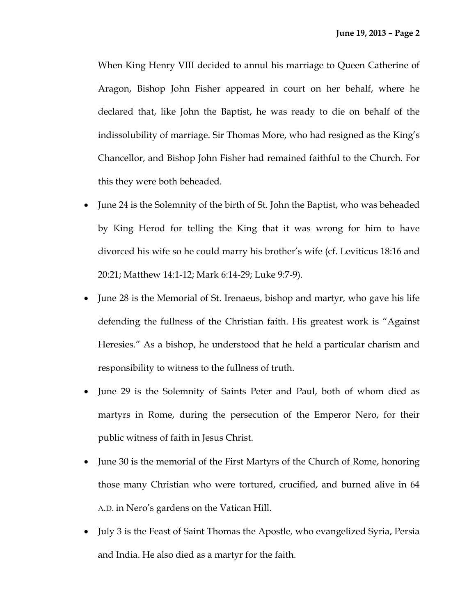When King Henry VIII decided to annul his marriage to Queen Catherine of Aragon, Bishop John Fisher appeared in court on her behalf, where he declared that, like John the Baptist, he was ready to die on behalf of the indissolubility of marriage. Sir Thomas More, who had resigned as the King's Chancellor, and Bishop John Fisher had remained faithful to the Church. For this they were both beheaded.

- June 24 is the Solemnity of the birth of St. John the Baptist, who was beheaded by King Herod for telling the King that it was wrong for him to have divorced his wife so he could marry his brother's wife (cf. Leviticus 18:16 and 20:21; Matthew 14:1-12; Mark 6:14-29; Luke 9:7-9).
- June 28 is the Memorial of St. Irenaeus, bishop and martyr, who gave his life defending the fullness of the Christian faith. His greatest work is "Against Heresies." As a bishop, he understood that he held a particular charism and responsibility to witness to the fullness of truth.
- June 29 is the Solemnity of Saints Peter and Paul, both of whom died as martyrs in Rome, during the persecution of the Emperor Nero, for their public witness of faith in Jesus Christ.
- June 30 is the memorial of the First Martyrs of the Church of Rome, honoring those many Christian who were tortured, crucified, and burned alive in 64 A.D. in Nero's gardens on the Vatican Hill.
- July 3 is the Feast of Saint Thomas the Apostle, who evangelized Syria, Persia and India. He also died as a martyr for the faith.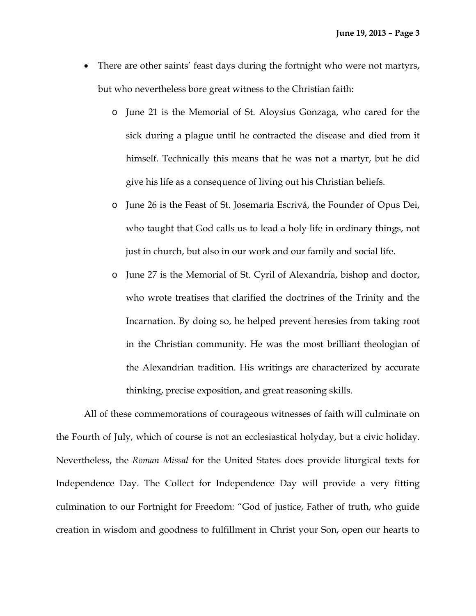- There are other saints' feast days during the fortnight who were not martyrs, but who nevertheless bore great witness to the Christian faith:
	- o June 21 is the Memorial of St. Aloysius Gonzaga, who cared for the sick during a plague until he contracted the disease and died from it himself. Technically this means that he was not a martyr, but he did give his life as a consequence of living out his Christian beliefs.
	- o June 26 is the Feast of St. Josemaría Escrivá, the Founder of Opus Dei, who taught that God calls us to lead a holy life in ordinary things, not just in church, but also in our work and our family and social life.
	- o June 27 is the Memorial of St. Cyril of Alexandria, bishop and doctor, who wrote treatises that clarified the doctrines of the Trinity and the Incarnation. By doing so, he helped prevent heresies from taking root in the Christian community. He was the most brilliant theologian of the Alexandrian tradition. His writings are characterized by accurate thinking, precise exposition, and great reasoning skills.

 All of these commemorations of courageous witnesses of faith will culminate on the Fourth of July, which of course is not an ecclesiastical holyday, but a civic holiday. Nevertheless, the *Roman Missal* for the United States does provide liturgical texts for Independence Day. The Collect for Independence Day will provide a very fitting culmination to our Fortnight for Freedom: "God of justice, Father of truth, who guide creation in wisdom and goodness to fulfillment in Christ your Son, open our hearts to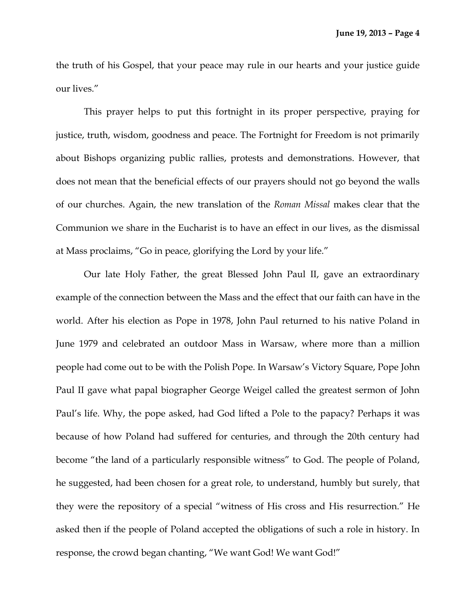the truth of his Gospel, that your peace may rule in our hearts and your justice guide our lives."

 This prayer helps to put this fortnight in its proper perspective, praying for justice, truth, wisdom, goodness and peace. The Fortnight for Freedom is not primarily about Bishops organizing public rallies, protests and demonstrations. However, that does not mean that the beneficial effects of our prayers should not go beyond the walls of our churches. Again, the new translation of the *Roman Missal* makes clear that the Communion we share in the Eucharist is to have an effect in our lives, as the dismissal at Mass proclaims, "Go in peace, glorifying the Lord by your life."

 Our late Holy Father, the great Blessed John Paul II, gave an extraordinary example of the connection between the Mass and the effect that our faith can have in the world. After his election as Pope in 1978, John Paul returned to his native Poland in June 1979 and celebrated an outdoor Mass in Warsaw, where more than a million people had come out to be with the Polish Pope. In Warsaw's Victory Square, Pope John Paul II gave what papal biographer George Weigel called the greatest sermon of John Paul's life. Why, the pope asked, had God lifted a Pole to the papacy? Perhaps it was because of how Poland had suffered for centuries, and through the 20th century had become "the land of a particularly responsible witness" to God. The people of Poland, he suggested, had been chosen for a great role, to understand, humbly but surely, that they were the repository of a special "witness of His cross and His resurrection." He asked then if the people of Poland accepted the obligations of such a role in history. In response, the crowd began chanting, "We want God! We want God!"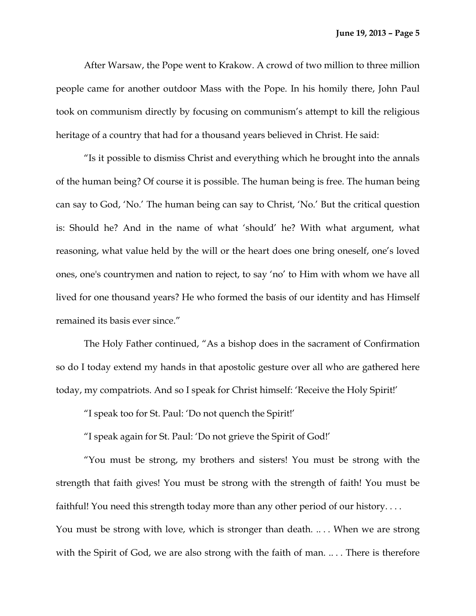After Warsaw, the Pope went to Krakow. A crowd of two million to three million people came for another outdoor Mass with the Pope. In his homily there, John Paul took on communism directly by focusing on communism's attempt to kill the religious heritage of a country that had for a thousand years believed in Christ. He said:

"Is it possible to dismiss Christ and everything which he brought into the annals of the human being? Of course it is possible. The human being is free. The human being can say to God, 'No.' The human being can say to Christ, 'No.' But the critical question is: Should he? And in the name of what 'should' he? With what argument, what reasoning, what value held by the will or the heart does one bring oneself, one's loved ones, one's countrymen and nation to reject, to say 'no' to Him with whom we have all lived for one thousand years? He who formed the basis of our identity and has Himself remained its basis ever since."

The Holy Father continued, "As a bishop does in the sacrament of Confirmation so do I today extend my hands in that apostolic gesture over all who are gathered here today, my compatriots. And so I speak for Christ himself: 'Receive the Holy Spirit!'

"I speak too for St. Paul: 'Do not quench the Spirit!'

"I speak again for St. Paul: 'Do not grieve the Spirit of God!'

"You must be strong, my brothers and sisters! You must be strong with the strength that faith gives! You must be strong with the strength of faith! You must be faithful! You need this strength today more than any other period of our history....

You must be strong with love, which is stronger than death. ... When we are strong with the Spirit of God, we are also strong with the faith of man. ... There is therefore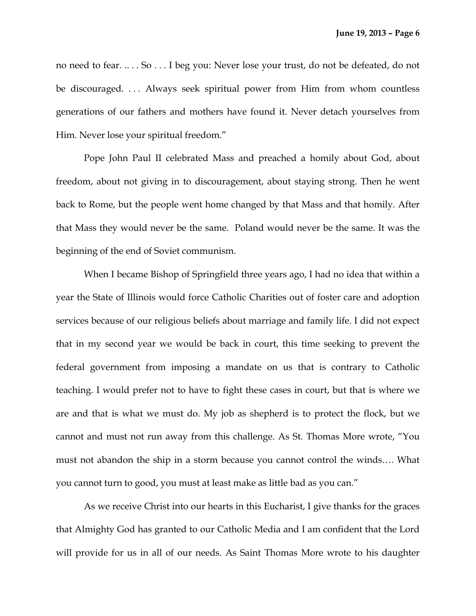no need to fear. .. . . So . . . I beg you: Never lose your trust, do not be defeated, do not be discouraged. . . . Always seek spiritual power from Him from whom countless generations of our fathers and mothers have found it. Never detach yourselves from Him. Never lose your spiritual freedom."

Pope John Paul II celebrated Mass and preached a homily about God, about freedom, about not giving in to discouragement, about staying strong. Then he went back to Rome, but the people went home changed by that Mass and that homily. After that Mass they would never be the same. Poland would never be the same. It was the beginning of the end of Soviet communism.

 When I became Bishop of Springfield three years ago, I had no idea that within a year the State of Illinois would force Catholic Charities out of foster care and adoption services because of our religious beliefs about marriage and family life. I did not expect that in my second year we would be back in court, this time seeking to prevent the federal government from imposing a mandate on us that is contrary to Catholic teaching. I would prefer not to have to fight these cases in court, but that is where we are and that is what we must do. My job as shepherd is to protect the flock, but we cannot and must not run away from this challenge. As St. Thomas More wrote, "You must not abandon the ship in a storm because you cannot control the winds…. What you cannot turn to good, you must at least make as little bad as you can."

 As we receive Christ into our hearts in this Eucharist, I give thanks for the graces that Almighty God has granted to our Catholic Media and I am confident that the Lord will provide for us in all of our needs. As Saint Thomas More wrote to his daughter